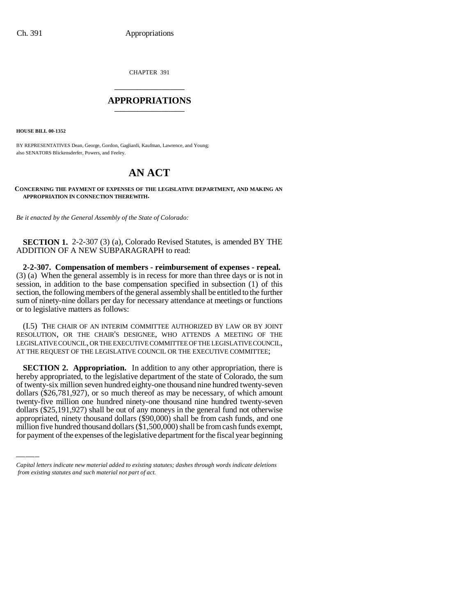CHAPTER 391 \_\_\_\_\_\_\_\_\_\_\_\_\_\_\_

#### **APPROPRIATIONS** \_\_\_\_\_\_\_\_\_\_\_\_\_\_\_

**HOUSE BILL 00-1352**

BY REPRESENTATIVES Dean, George, Gordon, Gagliardi, Kaufman, Lawrence, and Young; also SENATORS Blickensderfer, Powers, and Feeley.

## **AN ACT**

**CONCERNING THE PAYMENT OF EXPENSES OF THE LEGISLATIVE DEPARTMENT, AND MAKING AN APPROPRIATION IN CONNECTION THEREWITH.**

*Be it enacted by the General Assembly of the State of Colorado:*

**SECTION 1.** 2-2-307 (3) (a), Colorado Revised Statutes, is amended BY THE ADDITION OF A NEW SUBPARAGRAPH to read:

**2-2-307. Compensation of members - reimbursement of expenses - repeal.**  (3) (a) When the general assembly is in recess for more than three days or is not in session, in addition to the base compensation specified in subsection (1) of this section, the following members of the general assembly shall be entitled to the further sum of ninety-nine dollars per day for necessary attendance at meetings or functions or to legislative matters as follows:

(I.5) THE CHAIR OF AN INTERIM COMMITTEE AUTHORIZED BY LAW OR BY JOINT RESOLUTION, OR THE CHAIR'S DESIGNEE, WHO ATTENDS A MEETING OF THE LEGISLATIVE COUNCIL, OR THE EXECUTIVE COMMITTEE OF THE LEGISLATIVE COUNCIL, AT THE REQUEST OF THE LEGISLATIVE COUNCIL OR THE EXECUTIVE COMMITTEE;

twenty-five million one hundred ninety-one thousand nine hundred twenty-seven **SECTION 2. Appropriation.** In addition to any other appropriation, there is hereby appropriated, to the legislative department of the state of Colorado, the sum of twenty-six million seven hundred eighty-one thousand nine hundred twenty-seven dollars (\$26,781,927), or so much thereof as may be necessary, of which amount dollars (\$25,191,927) shall be out of any moneys in the general fund not otherwise appropriated, ninety thousand dollars (\$90,000) shall be from cash funds, and one million five hundred thousand dollars (\$1,500,000) shall be from cash funds exempt, for payment of the expenses of the legislative department for the fiscal year beginning

*Capital letters indicate new material added to existing statutes; dashes through words indicate deletions from existing statutes and such material not part of act.*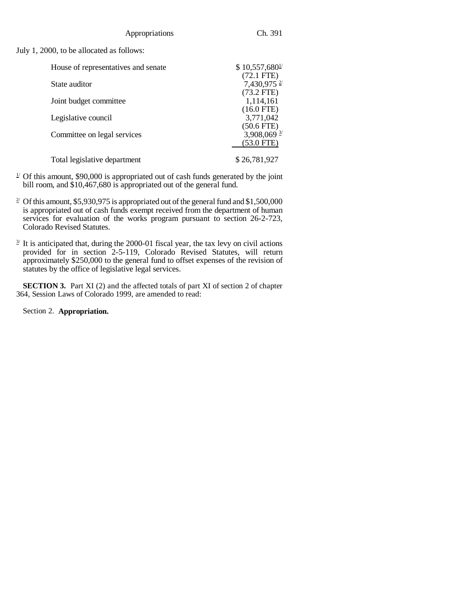July 1, 2000, to be allocated as follows:

| House of representatives and senate | \$10,557,680 <sup>1</sup> |
|-------------------------------------|---------------------------|
|                                     | $(72.1$ FTE)              |
| State auditor                       | 7,430,975 $\frac{2}{3}$   |
|                                     | $(73.2$ FTE)              |
| Joint budget committee              | 1,114,161                 |
|                                     | $(16.0$ FTE)              |
| Legislative council                 | 3,771,042                 |
|                                     | $(50.6$ FTE)              |
| Committee on legal services         | 3,908,069 $\frac{3}{2}$   |
|                                     | (53.0 FTE)                |
| Total legislative department        | \$26,781,927              |

- $1/2$  Of this amount, \$90,000 is appropriated out of cash funds generated by the joint bill room, and \$10,467,680 is appropriated out of the general fund.
- <sup>2</sup> Of this amount, \$5,930,975 is appropriated out of the general fund and \$1,500,000 is appropriated out of cash funds exempt received from the department of human services for evaluation of the works program pursuant to section 26-2-723, Colorado Revised Statutes.
- $\frac{3}{2}$  It is anticipated that, during the 2000-01 fiscal year, the tax levy on civil actions provided for in section 2-5-119, Colorado Revised Statutes, will return approximately \$250,000 to the general fund to offset expenses of the revision of statutes by the office of legislative legal services.

**SECTION 3.** Part XI (2) and the affected totals of part XI of section 2 of chapter 364, Session Laws of Colorado 1999, are amended to read:

Section 2. **Appropriation.**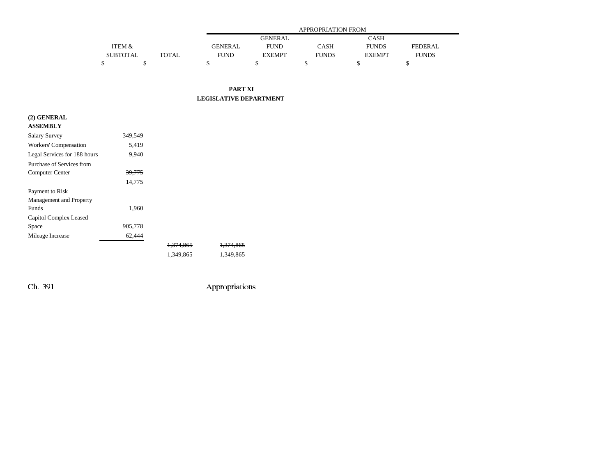|                   |       | <b>APPROPRIATION FROM</b> |               |              |               |                |  |
|-------------------|-------|---------------------------|---------------|--------------|---------------|----------------|--|
|                   |       |                           | GENERAL       |              | CASH          |                |  |
| <b>ITEM &amp;</b> |       | <b>GENERAL</b>            | FUND          | CASH         | <b>FUNDS</b>  | <b>FEDERAL</b> |  |
| SUBTOTAL          | TOTAL | <b>FUND</b>               | <b>EXEMPT</b> | <b>FUNDS</b> | <b>EXEMPT</b> | <b>FUNDS</b>   |  |
|                   |       |                           |               |              |               |                |  |

#### **PART XI LEGISLATIVE DEPARTMENT**

# **(2) GENERAL ASSEMBLY**

| <b>Salary Survey</b>         | 349.549 |                      |                      |
|------------------------------|---------|----------------------|----------------------|
| Workers' Compensation        | 5,419   |                      |                      |
| Legal Services for 188 hours | 9.940   |                      |                      |
| Purchase of Services from    |         |                      |                      |
| Computer Center              | 39,775  |                      |                      |
|                              | 14,775  |                      |                      |
| Payment to Risk              |         |                      |                      |
| Management and Property      |         |                      |                      |
| Funds                        | 1,960   |                      |                      |
| Capitol Complex Leased       |         |                      |                      |
| Space                        | 905,778 |                      |                      |
| Mileage Increase             | 62,444  |                      |                      |
|                              |         | <del>1.374.865</del> | <del>1.374.865</del> |
|                              |         | 1.349.865            | 1.349.865            |

Ch. 391 Appropriations